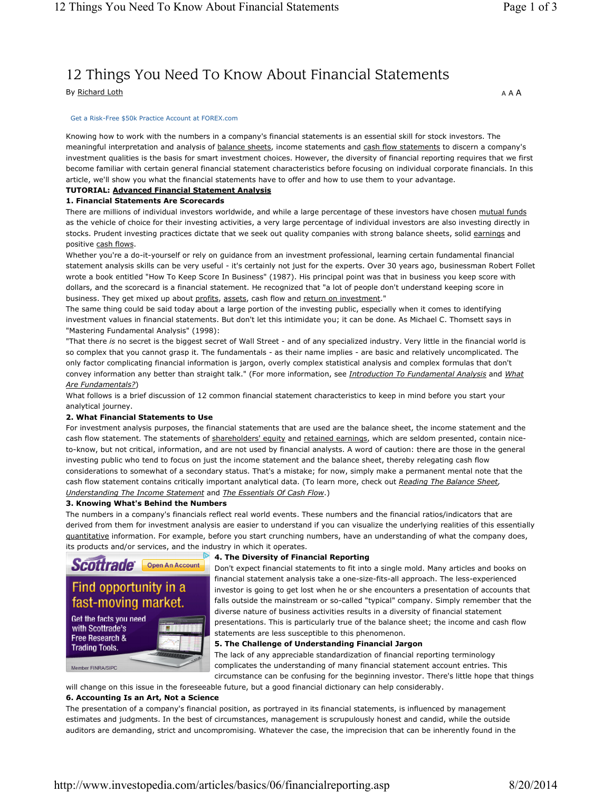# 12 Things You Need To Know About Financial Statements

By Richard Loth

#### Get a Risk-Free \$50k Practice Account at FOREX.com

Knowing how to work with the numbers in a company's financial statements is an essential skill for stock investors. The meaningful interpretation and analysis of balance sheets, income statements and cash flow statements to discern a company's investment qualities is the basis for smart investment choices. However, the diversity of financial reporting requires that we first become familiar with certain general financial statement characteristics before focusing on individual corporate financials. In this article, we'll show you what the financial statements have to offer and how to use them to your advantage.

#### **TUTORIAL: Advanced Financial Statement Analysis**

#### **1. Financial Statements Are Scorecards**

There are millions of individual investors worldwide, and while a large percentage of these investors have chosen mutual funds as the vehicle of choice for their investing activities, a very large percentage of individual investors are also investing directly in stocks. Prudent investing practices dictate that we seek out quality companies with strong balance sheets, solid earnings and positive cash flows.

Whether you're a do-it-yourself or rely on guidance from an investment professional, learning certain fundamental financial statement analysis skills can be very useful - it's certainly not just for the experts. Over 30 years ago, businessman Robert Follet wrote a book entitled "How To Keep Score In Business" (1987). His principal point was that in business you keep score with dollars, and the scorecard is a financial statement. He recognized that "a lot of people don't understand keeping score in business. They get mixed up about profits, assets, cash flow and return on investment."

The same thing could be said today about a large portion of the investing public, especially when it comes to identifying investment values in financial statements. But don't let this intimidate you; it can be done. As Michael C. Thomsett says in "Mastering Fundamental Analysis" (1998):

"That there *is* no secret is the biggest secret of Wall Street - and of any specialized industry. Very little in the financial world is so complex that you cannot grasp it. The fundamentals - as their name implies - are basic and relatively uncomplicated. The only factor complicating financial information is jargon, overly complex statistical analysis and complex formulas that don't convey information any better than straight talk." (For more information, see *Introduction To Fundamental Analysis* and *What Are Fundamentals?*)

What follows is a brief discussion of 12 common financial statement characteristics to keep in mind before you start your analytical journey.

#### **2. What Financial Statements to Use**

For investment analysis purposes, the financial statements that are used are the balance sheet, the income statement and the cash flow statement. The statements of shareholders' equity and retained earnings, which are seldom presented, contain niceto-know, but not critical, information, and are not used by financial analysts. A word of caution: there are those in the general investing public who tend to focus on just the income statement and the balance sheet, thereby relegating cash flow considerations to somewhat of a secondary status. That's a mistake; for now, simply make a permanent mental note that the cash flow statement contains critically important analytical data. (To learn more, check out *Reading The Balance Sheet, Understanding The Income Statement* and *The Essentials Of Cash Flow*.)

#### **3. Knowing What's Behind the Numbers**

The numbers in a company's financials reflect real world events. These numbers and the financial ratios/indicators that are derived from them for investment analysis are easier to understand if you can visualize the underlying realities of this essentially quantitative information. For example, before you start crunching numbers, have an understanding of what the company does, its products and/or services, and the industry in which it operates.



#### **4. The Diversity of Financial Reporting**

Don't expect financial statements to fit into a single mold. Many articles and books on financial statement analysis take a one-size-fits-all approach. The less-experienced investor is going to get lost when he or she encounters a presentation of accounts that falls outside the mainstream or so-called "typical" company. Simply remember that the diverse nature of business activities results in a diversity of financial statement presentations. This is particularly true of the balance sheet; the income and cash flow statements are less susceptible to this phenomenon.

#### **5. The Challenge of Understanding Financial Jargon**

The lack of any appreciable standardization of financial reporting terminology complicates the understanding of many financial statement account entries. This circumstance can be confusing for the beginning investor. There's little hope that things

will change on this issue in the foreseeable future, but a good financial dictionary can help considerably. **6. Accounting Is an Art, Not a Science**

#### The presentation of a company's financial position, as portrayed in its financial statements, is influenced by management estimates and judgments. In the best of circumstances, management is scrupulously honest and candid, while the outside auditors are demanding, strict and uncompromising. Whatever the case, the imprecision that can be inherently found in the

http://www.investopedia.com/articles/basics/06/financialreporting.asp 8/20/2014

A A A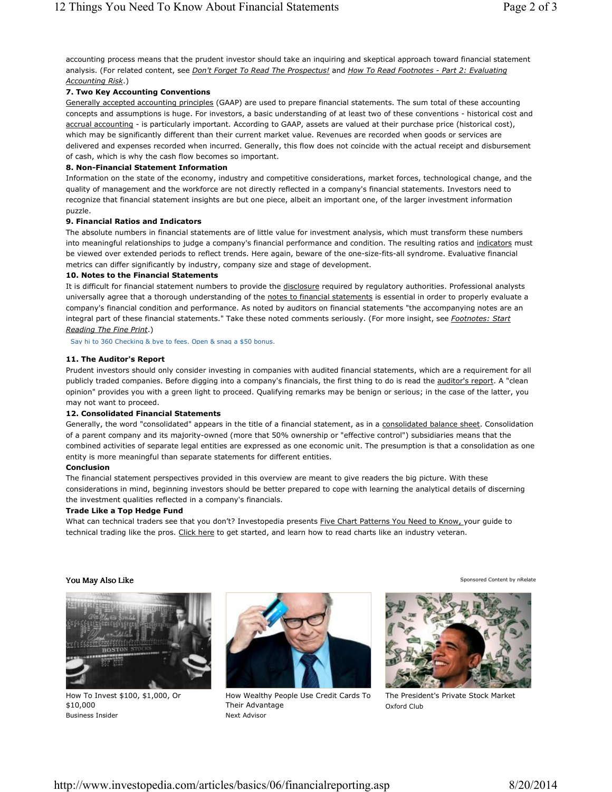accounting process means that the prudent investor should take an inquiring and skeptical approach toward financial statement analysis. (For related content, see *Don't Forget To Read The Prospectus!* and *How To Read Footnotes - Part 2: Evaluating Accounting Risk*.)

## **7. Two Key Accounting Conventions**

Generally accepted accounting principles (GAAP) are used to prepare financial statements. The sum total of these accounting concepts and assumptions is huge. For investors, a basic understanding of at least two of these conventions - historical cost and accrual accounting - is particularly important. According to GAAP, assets are valued at their purchase price (historical cost), which may be significantly different than their current market value. Revenues are recorded when goods or services are delivered and expenses recorded when incurred. Generally, this flow does not coincide with the actual receipt and disbursement of cash, which is why the cash flow becomes so important.

## **8. Non-Financial Statement Information**

Information on the state of the economy, industry and competitive considerations, market forces, technological change, and the quality of management and the workforce are not directly reflected in a company's financial statements. Investors need to recognize that financial statement insights are but one piece, albeit an important one, of the larger investment information puzzle.

## **9. Financial Ratios and Indicators**

The absolute numbers in financial statements are of little value for investment analysis, which must transform these numbers into meaningful relationships to judge a company's financial performance and condition. The resulting ratios and indicators must be viewed over extended periods to reflect trends. Here again, beware of the one-size-fits-all syndrome. Evaluative financial metrics can differ significantly by industry, company size and stage of development.

## **10. Notes to the Financial Statements**

It is difficult for financial statement numbers to provide the disclosure required by regulatory authorities. Professional analysts universally agree that a thorough understanding of the notes to financial statements is essential in order to properly evaluate a company's financial condition and performance. As noted by auditors on financial statements "the accompanying notes are an integral part of these financial statements." Take these noted comments seriously. (For more insight, see *Footnotes: Start Reading The Fine Print*.)

Say hi to 360 Checking & bye to fees. Open & snag a \$50 bonus.

## **11. The Auditor's Report**

Prudent investors should only consider investing in companies with audited financial statements, which are a requirement for all publicly traded companies. Before digging into a company's financials, the first thing to do is read the auditor's report. A "clean opinion" provides you with a green light to proceed. Qualifying remarks may be benign or serious; in the case of the latter, you may not want to proceed.

## **12. Consolidated Financial Statements**

Generally, the word "consolidated" appears in the title of a financial statement, as in a consolidated balance sheet. Consolidation of a parent company and its majority-owned (more that 50% ownership or "effective control") subsidiaries means that the combined activities of separate legal entities are expressed as one economic unit. The presumption is that a consolidation as one entity is more meaningful than separate statements for different entities.

## **Conclusion**

The financial statement perspectives provided in this overview are meant to give readers the big picture. With these considerations in mind, beginning investors should be better prepared to cope with learning the analytical details of discerning the investment qualities reflected in a company's financials.

## **Trade Like a Top Hedge Fund**

What can technical traders see that you don't? Investopedia presents Five Chart Patterns You Need to Know, your guide to technical trading like the pros. Click here to get started, and learn how to read charts like an industry veteran.

# You May Also Like



How To Invest \$100, \$1,000, Or \$10,000 Business Insider



How Wealthy People Use Credit Cards To Their Advantage Next Advisor



Sponsored Content by nRelate

The President's Private Stock Market Oxford Club